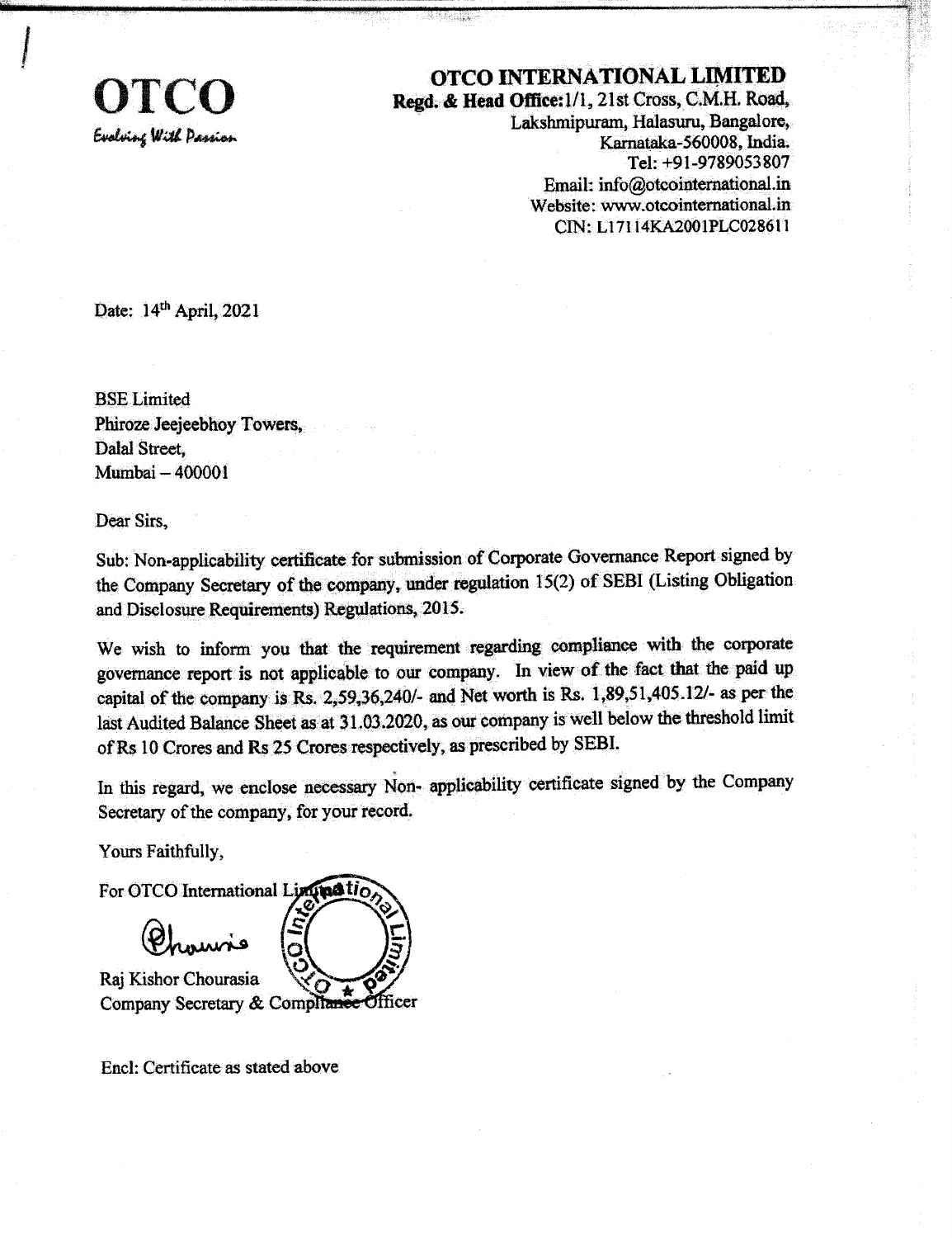**UICC** Evalvinc With Passion

## **OTCO INTERNATIONAL LIMITED** Regd. & Head Office: 1/1, 21st Cross, C.M.H. Road, Lakshmipuram, Halasuru, Bangalore, Karnataka-560008, India. Tel: +91-9789053807 Email: info@otcointernational.in Website: www.otcointernational.in CIN: L17114KA2001PLC028611

Date: 14th April, 2021

**BSE** Limited Phiroze Jeejeebhoy Towers, Dalal Street, Mumbai - 400001

Dear Sirs.

Sub: Non-applicability certificate for submission of Corporate Governance Report signed by the Company Secretary of the company, under regulation 15(2) of SEBI (Listing Obligation and Disclosure Requirements) Regulations, 2015.

We wish to inform you that the requirement regarding compliance with the corporate governance report is not applicable to our company. In view of the fact that the paid up capital of the company is Rs. 2,59,36,240/- and Net worth is Rs. 1,89,51,405.12/- as per the last Audited Balance Sheet as at 31.03.2020, as our company is well below the threshold limit of Rs 10 Crores and Rs 25 Crores respectively, as prescribed by SEBI.

In this regard, we enclose necessary Non- applicability certificate signed by the Company Secretary of the company, for your record.

Yours Faithfully,



Encl: Certificate as stated above